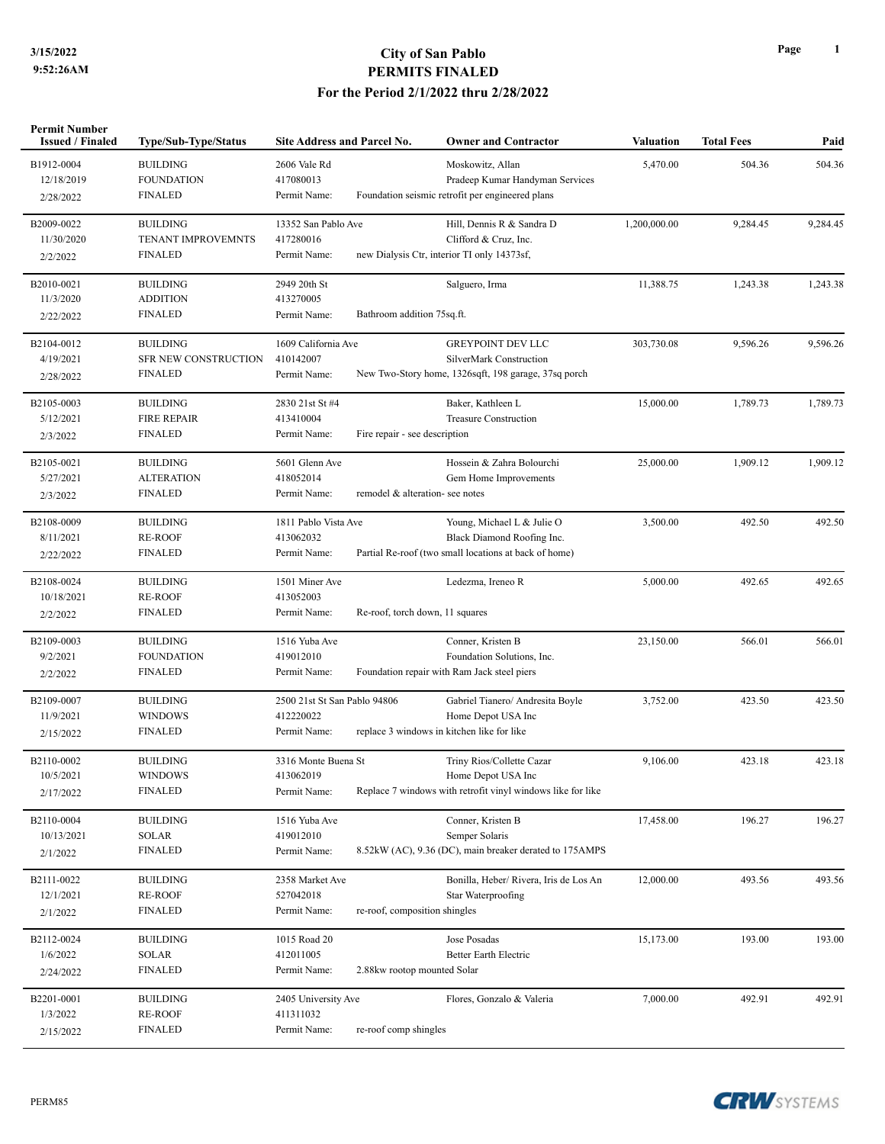## **3/15/2022 City of San Pablo PERMITS FINALED For the Period 2/1/2022 thru 2/28/2022**

| Permit Number<br><b>Issued / Finaled</b> | Type/Sub-Type/Status | <b>Site Address and Parcel No.</b> |                                 | <b>Owner and Contractor</b>                                 | Valuation    | <b>Total Fees</b> | Paid     |
|------------------------------------------|----------------------|------------------------------------|---------------------------------|-------------------------------------------------------------|--------------|-------------------|----------|
| B1912-0004                               | <b>BUILDING</b>      | 2606 Vale Rd                       |                                 | Moskowitz, Allan                                            | 5,470.00     | 504.36            | 504.36   |
| 12/18/2019                               | <b>FOUNDATION</b>    | 417080013                          |                                 | Pradeep Kumar Handyman Services                             |              |                   |          |
| 2/28/2022                                | <b>FINALED</b>       | Permit Name:                       |                                 | Foundation seismic retrofit per engineered plans            |              |                   |          |
| B2009-0022                               | <b>BUILDING</b>      | 13352 San Pablo Ave                |                                 | Hill, Dennis R & Sandra D                                   | 1,200,000.00 | 9,284.45          | 9,284.45 |
| 11/30/2020                               | TENANT IMPROVEMNTS   | 417280016                          |                                 | Clifford & Cruz, Inc.                                       |              |                   |          |
| 2/2/2022                                 | <b>FINALED</b>       | Permit Name:                       |                                 | new Dialysis Ctr, interior TI only 14373sf,                 |              |                   |          |
| B2010-0021                               | <b>BUILDING</b>      | 2949 20th St                       |                                 | Salguero, Irma                                              | 11,388.75    | 1,243.38          | 1,243.38 |
| 11/3/2020                                | <b>ADDITION</b>      | 413270005                          |                                 |                                                             |              |                   |          |
| 2/22/2022                                | <b>FINALED</b>       | Permit Name:                       | Bathroom addition 75sq.ft.      |                                                             |              |                   |          |
| B2104-0012                               | <b>BUILDING</b>      | 1609 California Ave                |                                 | <b>GREYPOINT DEV LLC</b>                                    | 303,730.08   | 9,596.26          | 9,596.26 |
| 4/19/2021                                | SFR NEW CONSTRUCTION | 410142007                          |                                 | SilverMark Construction                                     |              |                   |          |
| 2/28/2022                                | <b>FINALED</b>       | Permit Name:                       |                                 | New Two-Story home, 1326sqft, 198 garage, 37sq porch        |              |                   |          |
| B2105-0003                               | <b>BUILDING</b>      | 2830 21st St #4                    |                                 | Baker, Kathleen L                                           | 15,000.00    | 1,789.73          | 1,789.73 |
| 5/12/2021                                | <b>FIRE REPAIR</b>   | 413410004                          |                                 | <b>Treasure Construction</b>                                |              |                   |          |
| 2/3/2022                                 | <b>FINALED</b>       | Permit Name:                       | Fire repair - see description   |                                                             |              |                   |          |
| B2105-0021                               | <b>BUILDING</b>      | 5601 Glenn Ave                     |                                 | Hossein & Zahra Bolourchi                                   | 25,000.00    | 1,909.12          | 1,909.12 |
| 5/27/2021                                | <b>ALTERATION</b>    | 418052014                          |                                 | Gem Home Improvements                                       |              |                   |          |
| 2/3/2022                                 | <b>FINALED</b>       | Permit Name:                       | remodel & alteration- see notes |                                                             |              |                   |          |
| B2108-0009                               | <b>BUILDING</b>      | 1811 Pablo Vista Ave               |                                 | Young, Michael L & Julie O                                  | 3,500.00     | 492.50            | 492.50   |
| 8/11/2021                                | <b>RE-ROOF</b>       | 413062032                          |                                 | Black Diamond Roofing Inc.                                  |              |                   |          |
| 2/22/2022                                | <b>FINALED</b>       | Permit Name:                       |                                 | Partial Re-roof (two small locations at back of home)       |              |                   |          |
| B2108-0024                               | <b>BUILDING</b>      | 1501 Miner Ave                     |                                 | Ledezma, Ireneo R                                           | 5,000.00     | 492.65            | 492.65   |
| 10/18/2021                               | <b>RE-ROOF</b>       | 413052003                          |                                 |                                                             |              |                   |          |
| 2/2/2022                                 | <b>FINALED</b>       | Permit Name:                       | Re-roof, torch down, 11 squares |                                                             |              |                   |          |
| B2109-0003                               | <b>BUILDING</b>      | 1516 Yuba Ave                      |                                 | Conner, Kristen B                                           | 23,150.00    | 566.01            | 566.01   |
| 9/2/2021                                 | <b>FOUNDATION</b>    | 419012010                          |                                 | Foundation Solutions, Inc.                                  |              |                   |          |
| 2/2/2022                                 | <b>FINALED</b>       | Permit Name:                       |                                 | Foundation repair with Ram Jack steel piers                 |              |                   |          |
| B2109-0007                               | <b>BUILDING</b>      | 2500 21st St San Pablo 94806       |                                 | Gabriel Tianero/ Andresita Boyle                            | 3,752.00     | 423.50            | 423.50   |
| 11/9/2021                                | <b>WINDOWS</b>       | 412220022                          |                                 | Home Depot USA Inc                                          |              |                   |          |
| 2/15/2022                                | <b>FINALED</b>       | Permit Name:                       |                                 | replace 3 windows in kitchen like for like                  |              |                   |          |
| B2110-0002                               | <b>BUILDING</b>      | 3316 Monte Buena St                |                                 | Triny Rios/Collette Cazar                                   | 9,106.00     | 423.18            | 423.18   |
| 10/5/2021                                | WINDOWS              | 413062019                          |                                 | Home Depot USA Inc                                          |              |                   |          |
| 2/17/2022                                | <b>FINALED</b>       | Permit Name:                       |                                 | Replace 7 windows with retrofit vinyl windows like for like |              |                   |          |
| B2110-0004                               | <b>BUILDING</b>      | 1516 Yuba Ave                      |                                 | Conner, Kristen B                                           | 17,458.00    | 196.27            | 196.27   |
| 10/13/2021                               | SOLAR                | 419012010                          |                                 | Semper Solaris                                              |              |                   |          |
| 2/1/2022                                 | <b>FINALED</b>       | Permit Name:                       |                                 | 8.52kW (AC), 9.36 (DC), main breaker derated to 175AMPS     |              |                   |          |
| B2111-0022                               | <b>BUILDING</b>      | 2358 Market Ave                    |                                 | Bonilla, Heber/ Rivera, Iris de Los An                      | 12,000.00    | 493.56            | 493.56   |
| 12/1/2021                                | <b>RE-ROOF</b>       | 527042018                          |                                 | Star Waterproofing                                          |              |                   |          |
| 2/1/2022                                 | <b>FINALED</b>       | Permit Name:                       | re-roof, composition shingles   |                                                             |              |                   |          |
| B2112-0024                               | <b>BUILDING</b>      | 1015 Road 20                       |                                 | Jose Posadas                                                | 15,173.00    | 193.00            | 193.00   |
| 1/6/2022                                 | <b>SOLAR</b>         | 412011005                          |                                 | <b>Better Earth Electric</b>                                |              |                   |          |
| 2/24/2022                                | <b>FINALED</b>       | Permit Name:                       | 2.88kw rootop mounted Solar     |                                                             |              |                   |          |
| B2201-0001                               | <b>BUILDING</b>      | 2405 University Ave                |                                 | Flores, Gonzalo & Valeria                                   | 7,000.00     | 492.91            | 492.91   |
| 1/3/2022                                 | <b>RE-ROOF</b>       | 411311032                          |                                 |                                                             |              |                   |          |
| 2/15/2022                                | <b>FINALED</b>       | Permit Name:                       | re-roof comp shingles           |                                                             |              |                   |          |